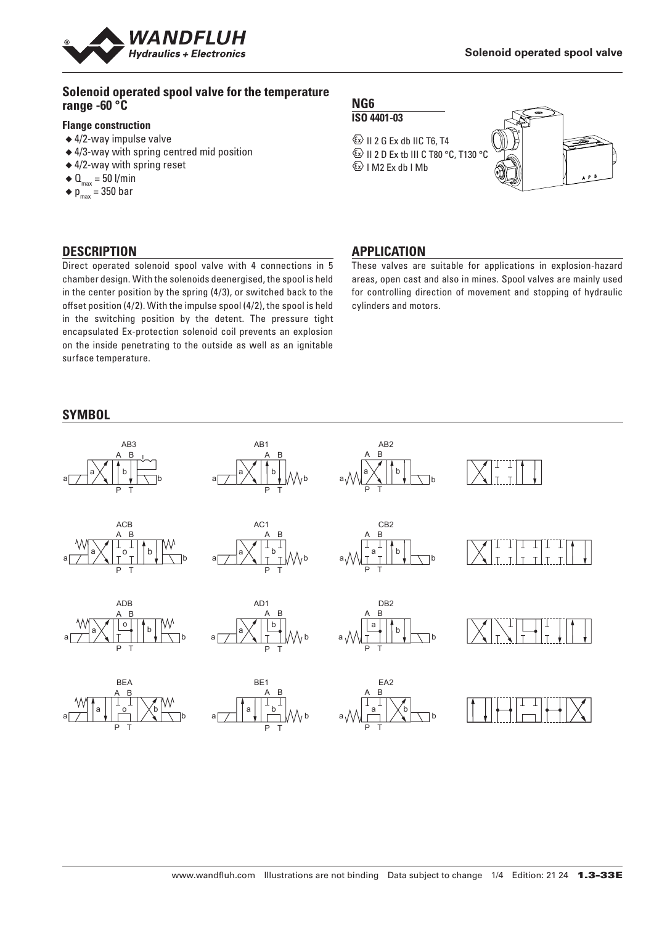

#### **Solenoid operated spool valve for the temperature range -60 °C**

#### **Flange construction**

- ◆ 4/2-way impulse valve
- ◆ 4/3-way with spring centred mid position
- ◆ 4/2-way with spring reset
- $\triangleleft \mathbf{Q}_{\text{max}} = 50$  l/min
- $\bullet$  p<sub>max</sub> = 350 bar

## **DESCRIPTION**

Direct operated solenoid spool valve with 4 connections in 5 chamber design. With the solenoids deenergised, the spool is held in the center position by the spring (4/3), or switched back to the offset position (4/2). With the impulse spool (4/2), the spool is held in the switching position by the detent. The pressure tight encapsulated Ex-protection solenoid coil prevents an explosion on the inside penetrating to the outside as well as an ignitable surface temperature.

#### **SYMBOL**

# **NG6**

**ISO 4401-03**

 $\textcircled{k}$  II 2 G Ex db IIC T6, T4 **ED II 2 D Ex tb III C T80 °C, T130 °C**  $\&$  I M2 Ex db I Mb



## **APPLICATION**

These valves are suitable for applications in explosion-hazard areas, open cast and also in mines. Spool valves are mainly used for controlling direction of movement and stopping of hydraulic cylinders and motors.

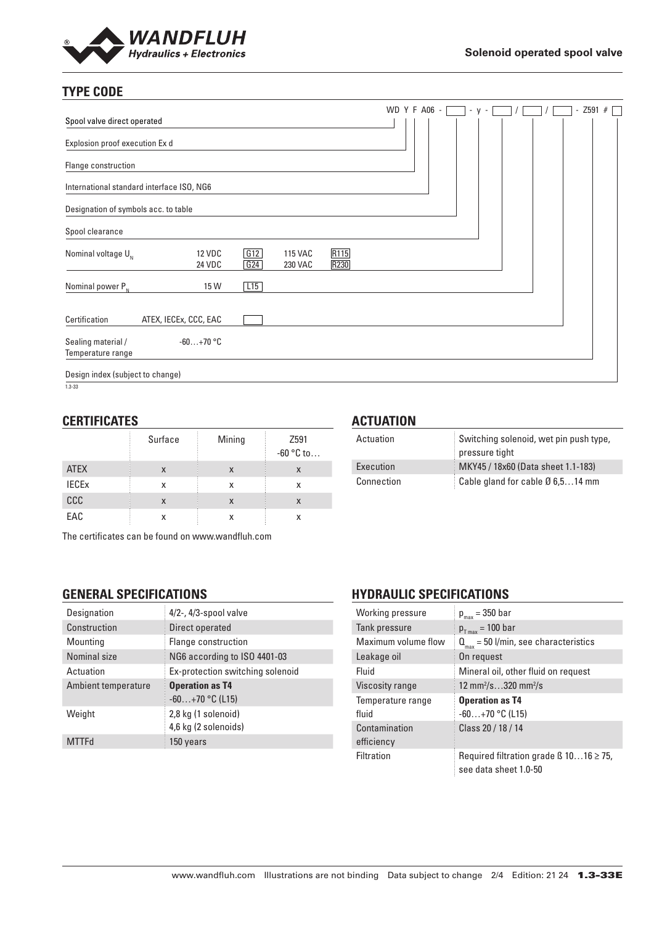

# **TYPE CODE**

|                                           |                         |            |                                  |              | WD Y F A06 - | $-V -$ |  |  | $-$ Z591 # [ |  |
|-------------------------------------------|-------------------------|------------|----------------------------------|--------------|--------------|--------|--|--|--------------|--|
| Spool valve direct operated               |                         |            |                                  |              |              |        |  |  |              |  |
| Explosion proof execution Ex d            |                         |            |                                  |              |              |        |  |  |              |  |
| Flange construction                       |                         |            |                                  |              |              |        |  |  |              |  |
| International standard interface ISO, NG6 |                         |            |                                  |              |              |        |  |  |              |  |
| Designation of symbols acc. to table      |                         |            |                                  |              |              |        |  |  |              |  |
| Spool clearance                           |                         |            |                                  |              |              |        |  |  |              |  |
| Nominal voltage $U_{N}$                   | <b>12 VDC</b><br>24 VDC | G12<br>G24 | <b>115 VAC</b><br><b>230 VAC</b> | R115<br>R230 |              |        |  |  |              |  |
| Nominal power $P_{N}$                     | 15 W                    | L15        |                                  |              |              |        |  |  |              |  |
| Certification                             | ATEX, IECEx, CCC, EAC   |            |                                  |              |              |        |  |  |              |  |
| Sealing material /<br>Temperature range   | $-60+70$ °C             |            |                                  |              |              |        |  |  |              |  |
| Design index (subject to change)          |                         |            |                                  |              |              |        |  |  |              |  |

 $1.3 - 33$ 

## **CERTIFICATES**

|                         | Surface | Mining | Z591<br>$-60$ °C to |
|-------------------------|---------|--------|---------------------|
| <b>ATEX</b>             | X       | X      |                     |
| <b>IECE<sub>x</sub></b> | х       | x      | x                   |
| CCC                     | X       | X      | X                   |
| EAC                     | x       | X      |                     |

The certificates can be found on www.wandfluh.com

# **GENERAL SPECIFICATIONS**

| Designation         | $4/2$ -, $4/3$ -spool valve                 |
|---------------------|---------------------------------------------|
| Construction        | Direct operated                             |
| Mounting            | Flange construction                         |
| Nominal size        | NG6 according to ISO 4401-03                |
| Actuation           | Ex-protection switching solenoid            |
| Ambient temperature | <b>Operation as T4</b><br>$-60+70$ °C (L15) |
| Weight              | 2,8 kg (1 solenoid)<br>4,6 kg (2 solenoids) |
| <b>MTTFd</b>        | 150 years                                   |

# **ACTUATION**

| Actuation  | Switching solenoid, wet pin push type,     |
|------------|--------------------------------------------|
|            | pressure tight                             |
| Execution  | MKY45 / 18x60 (Data sheet 1.1-183)         |
| Connection | Cable gland for cable $\emptyset$ 6,514 mm |

# **HYDRAULIC SPECIFICATIONS**

| Working pressure            | $p_{max} = 350$ bar                                                        |  |  |
|-----------------------------|----------------------------------------------------------------------------|--|--|
| Tank pressure               | $p_{T_{max}} = 100$ bar                                                    |  |  |
| Maximum volume flow         | $Q_{\text{max}}$ = 50 l/min, see characteristics                           |  |  |
| Leakage oil                 | On request                                                                 |  |  |
| Fluid                       | Mineral oil, other fluid on request                                        |  |  |
| Viscosity range             | 12 mm <sup>2</sup> /s320 mm <sup>2</sup> /s                                |  |  |
| Temperature range<br>fluid  | <b>Operation as T4</b><br>$-60+70$ °C (L15)                                |  |  |
| Contamination<br>efficiency | Class 20 / 18 / 14                                                         |  |  |
| <b>Filtration</b>           | Required filtration grade $\beta$ 1016 $\geq$ 75,<br>see data sheet 1.0-50 |  |  |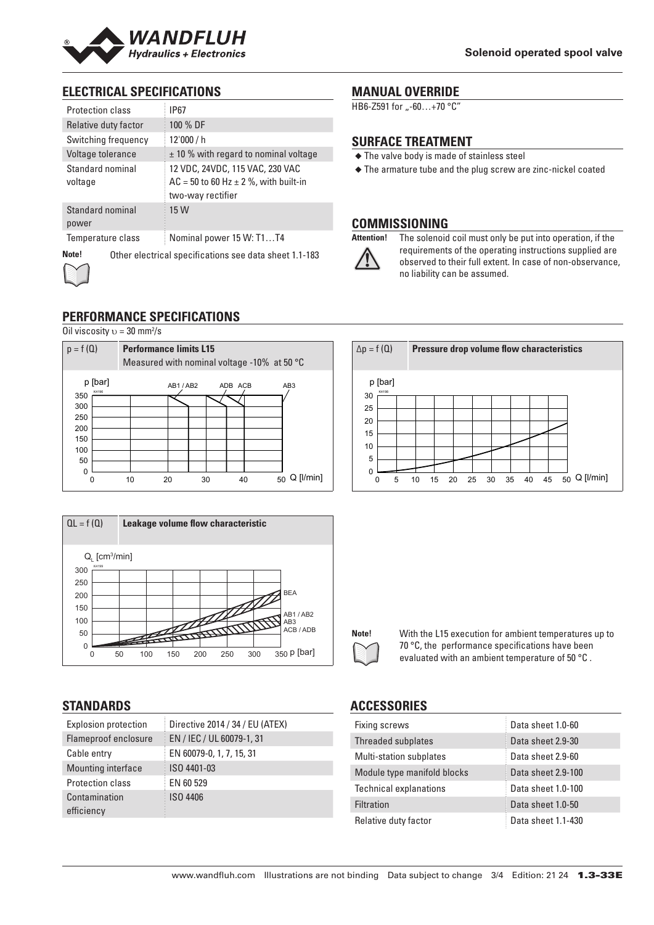

# **ELECTRICAL SPECIFICATIONS**

| Protection class            | <b>IP67</b>                                                                                         |  |  |
|-----------------------------|-----------------------------------------------------------------------------------------------------|--|--|
| Relative duty factor        | 100 % DF                                                                                            |  |  |
| Switching frequency         | 12'000 / h                                                                                          |  |  |
| Voltage tolerance           | $\pm$ 10 % with regard to nominal voltage                                                           |  |  |
| Standard nominal<br>voltage | 12 VDC, 24VDC, 115 VAC, 230 VAC<br>$AC = 50$ to 60 Hz $\pm$ 2 %, with built-in<br>two-way rectifier |  |  |
| Standard nominal<br>power   | 15 W                                                                                                |  |  |
| Temperature class           | Nominal power 15 W: T1T4                                                                            |  |  |
| Note!                       | Other electrical specifications see data sheet 1.1-183                                              |  |  |

# **MANUAL OVERRIDE**

HB6-Z591 for "-60...+70 °C"

#### **SURFACE TREATMENT**

- ◆ The valve body is made of stainless steel
- ◆ The armature tube and the plug screw are zinc-nickel coated

# **COMMISSIONING**



**Attention!** The solenoid coil must only be put into operation, if the requirements of the operating instructions supplied are observed to their full extent. In case of non-observance, no liability can be assumed.

# **PERFORMANCE SPECIFICATIONS**

Oil viscosity  $v = 30$  mm<sup>2</sup>/s





## **STANDARDS**

| <b>Explosion protection</b> | Directive 2014 / 34 / EU (ATEX) |
|-----------------------------|---------------------------------|
| Flameproof enclosure        | EN / IEC / UL 60079-1, 31       |
| Cable entry                 | EN 60079-0, 1, 7, 15, 31        |
| Mounting interface          | ISO 4401-03                     |
| Protection class            | EN 60 529                       |
| Contamination               | <b>ISO 4406</b>                 |
| efficiency                  |                                 |

#### ∆p = f (Q) **Pressure drop volume flow characteristics** K4198 p [bar] 0 5 10 15 20 25 30 35 40 45 50 Q [l/min] 30 25 20 15 10 5 0



Note! With the L15 execution for ambient temperatures up to 70 °C, the performance specifications have been evaluated with an ambient temperature of 50 °C .

## **ACCESSORIES**

| Fixing screws                  | Data sheet 1.0-60  |
|--------------------------------|--------------------|
| Threaded subplates             | Data sheet 2.9-30  |
| <b>Multi-station subplates</b> | Data sheet 2.9-60  |
| Module type manifold blocks    | Data sheet 2.9-100 |
| <b>Technical explanations</b>  | Data sheet 1.0-100 |
| Filtration                     | Data sheet 1.0-50  |
| Relative duty factor           | Data sheet 1.1-430 |